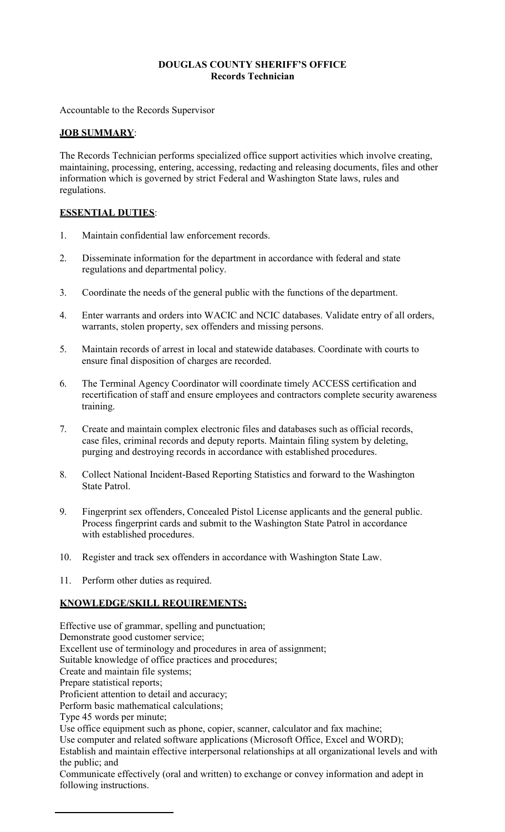#### **DOUGLAS COUNTY SHERIFF'S OFFICE Records Technician**

Accountable to the Records Supervisor

### **JOB SUMMARY**:

The Records Technician performs specialized office support activities which involve creating, maintaining, processing, entering, accessing, redacting and releasing documents, files and other information which is governed by strict Federal and Washington State laws, rules and regulations.

### **ESSENTIAL DUTIES**:

- 1. Maintain confidential law enforcement records.
- 2. Disseminate information for the department in accordance with federal and state regulations and departmental policy.
- 3. Coordinate the needs of the general public with the functions of the department.
- 4. Enter warrants and orders into WACIC and NCIC databases. Validate entry of all orders, warrants, stolen property, sex offenders and missing persons.
- 5. Maintain records of arrest in local and statewide databases. Coordinate with courts to ensure final disposition of charges are recorded.
- 6. The Terminal Agency Coordinator will coordinate timely ACCESS certification and recertification of staff and ensure employees and contractors complete security awareness training.
- 7. Create and maintain complex electronic files and databases such as official records, case files, criminal records and deputy reports. Maintain filing system by deleting, purging and destroying records in accordance with established procedures.
- 8. Collect National Incident-Based Reporting Statistics and forward to the Washington State Patrol.
- 9. Fingerprint sex offenders, Concealed Pistol License applicants and the general public. Process fingerprint cards and submit to the Washington State Patrol in accordance with established procedures.
- 10. Register and track sex offenders in accordance with Washington State Law.
- 11. Perform other duties as required.

### **KNOWLEDGE/SKILL REQUIREMENTS:**

Effective use of grammar, spelling and punctuation; Demonstrate good customer service; Excellent use of terminology and procedures in area of assignment; Suitable knowledge of office practices and procedures; Create and maintain file systems; Prepare statistical reports; Proficient attention to detail and accuracy; Perform basic mathematical calculations; Type 45 words per minute; Use office equipment such as phone, copier, scanner, calculator and fax machine; Use computer and related software applications (Microsoft Office, Excel and WORD); Establish and maintain effective interpersonal relationships at all organizational levels and with the public; and Communicate effectively (oral and written) to exchange or convey information and adept in following instructions.